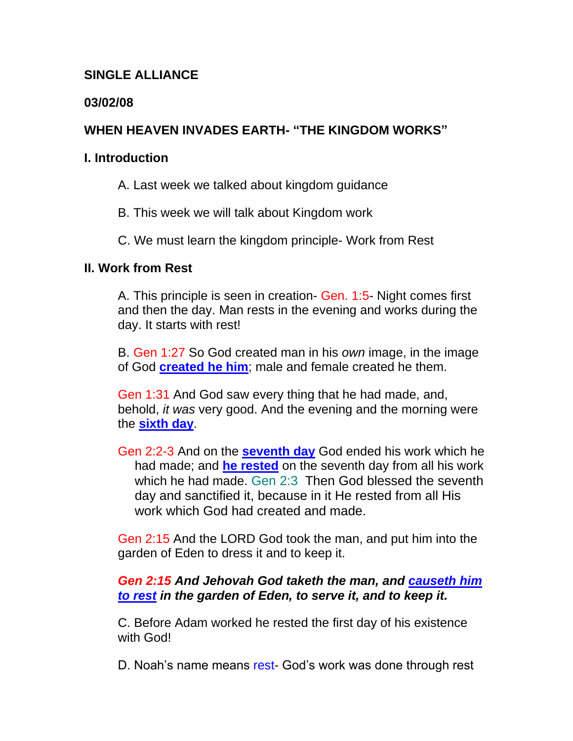## **SINGLE ALLIANCE**

## **03/02/08**

# **WHEN HEAVEN INVADES EARTH- "THE KINGDOM WORKS"**

#### **I. Introduction**

- A. Last week we talked about kingdom guidance
- B. This week we will talk about Kingdom work
- C. We must learn the kingdom principle- Work from Rest

### **II. Work from Rest**

A. This principle is seen in creation- Gen. 1:5- Night comes first and then the day. Man rests in the evening and works during the day. It starts with rest!

B. Gen 1:27 So God created man in his *own* image, in the image of God **created he him**; male and female created he them.

Gen 1:31 And God saw every thing that he had made, and, behold, *it was* very good. And the evening and the morning were the **sixth day**.

Gen 2:2-3 And on the **seventh day** God ended his work which he had made; and **he rested** on the seventh day from all his work which he had made. Gen 2:3 Then God blessed the seventh day and sanctified it, because in it He rested from all His work which God had created and made.

Gen 2:15 And the LORD God took the man, and put him into the garden of Eden to dress it and to keep it.

## *Gen 2:15 And Jehovah God taketh the man, and causeth him to rest in the garden of Eden, to serve it, and to keep it.*

C. Before Adam worked he rested the first day of his existence with God!

D. Noah's name means rest- God's work was done through rest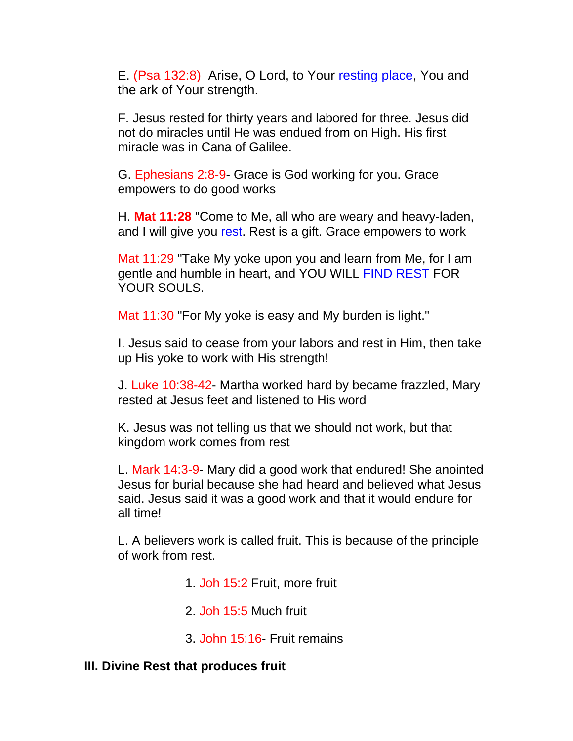E. (Psa 132:8) Arise, O Lord, to Your resting place, You and the ark of Your strength.

F. Jesus rested for thirty years and labored for three. Jesus did not do miracles until He was endued from on High. His first miracle was in Cana of Galilee.

G. Ephesians 2:8-9- Grace is God working for you. Grace empowers to do good works

H. **Mat 11:28** "Come to Me, all who are weary and heavy-laden, and I will give you rest. Rest is a gift. Grace empowers to work

Mat 11:29 "Take My yoke upon you and learn from Me, for I am gentle and humble in heart, and YOU WILL FIND REST FOR YOUR SOULS.

Mat 11:30 "For My yoke is easy and My burden is light."

I. Jesus said to cease from your labors and rest in Him, then take up His yoke to work with His strength!

J. Luke 10:38-42- Martha worked hard by became frazzled, Mary rested at Jesus feet and listened to His word

K. Jesus was not telling us that we should not work, but that kingdom work comes from rest

L. Mark 14:3-9- Mary did a good work that endured! She anointed Jesus for burial because she had heard and believed what Jesus said. Jesus said it was a good work and that it would endure for all time!

L. A believers work is called fruit. This is because of the principle of work from rest.

1. Joh 15:2 Fruit, more fruit

2. Joh 15:5 Much fruit

3. John 15:16- Fruit remains

## **III. Divine Rest that produces fruit**